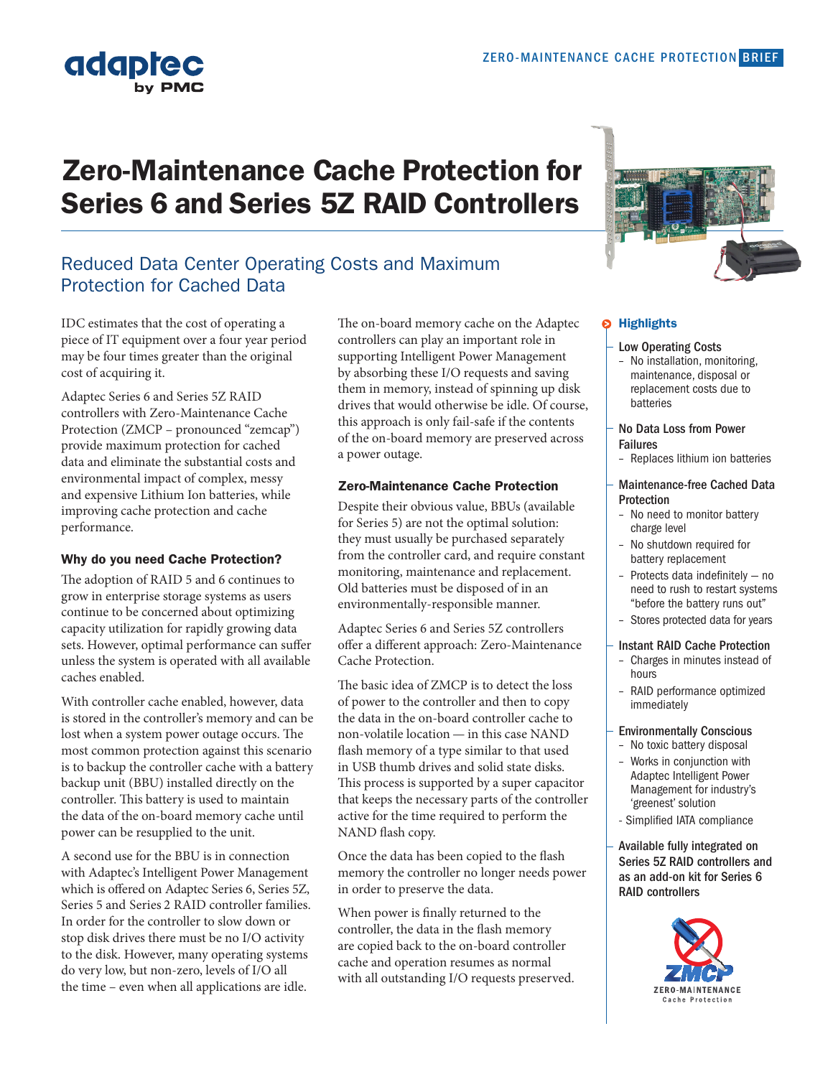# Zero-Maintenance Cache Protection for Series 6 and Series 5Z RAID Controllers

# Reduced Data Center Operating Costs and Maximum Protection for Cached Data

IDC estimates that the cost of operating a piece of IT equipment over a four year period may be four times greater than the original cost of acquiring it.

Adaptec Series 6 and Series 5Z RAID controllers with Zero-Maintenance Cache Protection (ZMCP – pronounced "zemcap") provide maximum protection for cached data and eliminate the substantial costs and environmental impact of complex, messy and expensive Lithium Ion batteries, while improving cache protection and cache performance.

## Why do you need Cache Protection?

The adoption of RAID 5 and 6 continues to grow in enterprise storage systems as users continue to be concerned about optimizing capacity utilization for rapidly growing data sets. However, optimal performance can suffer unless the system is operated with all available caches enabled.

With controller cache enabled, however, data is stored in the controller's memory and can be lost when a system power outage occurs. The most common protection against this scenario is to backup the controller cache with a battery backup unit (BBU) installed directly on the controller. This battery is used to maintain the data of the on-board memory cache until power can be resupplied to the unit.

A second use for the BBU is in connection with Adaptec's Intelligent Power Management which is offered on Adaptec Series 6, Series 5Z, Series 5 and Series 2 RAID controller families. In order for the controller to slow down or stop disk drives there must be no I/O activity to the disk. However, many operating systems do very low, but non-zero, levels of I/O all the time – even when all applications are idle.

The on-board memory cache on the Adaptec controllers can play an important role in supporting Intelligent Power Management by absorbing these I/O requests and saving them in memory, instead of spinning up disk drives that would otherwise be idle. Of course, this approach is only fail-safe if the contents of the on-board memory are preserved across a power outage.

## Zero-Maintenance Cache Protection

Despite their obvious value, BBUs (available for Series 5) are not the optimal solution: they must usually be purchased separately from the controller card, and require constant monitoring, maintenance and replacement. Old batteries must be disposed of in an environmentally-responsible manner.

Adaptec Series 6 and Series 5Z controllers offer a different approach: Zero-Maintenance Cache Protection.

The basic idea of ZMCP is to detect the loss of power to the controller and then to copy the data in the on-board controller cache to non-volatile location — in this case NAND flash memory of a type similar to that used in USB thumb drives and solid state disks. This process is supported by a super capacitor that keeps the necessary parts of the controller active for the time required to perform the NAND flash copy.

Once the data has been copied to the flash memory the controller no longer needs power in order to preserve the data.

When power is finally returned to the controller, the data in the flash memory are copied back to the on-board controller cache and operation resumes as normal with all outstanding I/O requests preserved.



## > Highlights

#### Low Operating Costs

- No installation, monitoring, maintenance, disposal or replacement costs due to batteries
- No Data Loss from Power Failures
- Replaces lithium ion batteries

#### Maintenance-free Cached Data Protection

- No need to monitor battery charge level
- No shutdown required for battery replacement
- Protects data indefinitely  $-$  no need to rush to restart systems "before the battery runs out"
- Stores protected data for years

## Instant RAID Cache Protection

- Charges in minutes instead of hours
- RAID performance optimized immediately

## Environmentally Conscious

- – No toxic battery disposal
- – Works in conjunction with Adaptec Intelligent Power Management for industry's 'greenest' solution
- Simplified IATA compliance
- Available fully integrated on Series 5Z RAID controllers and as an add-on kit for Series 6 RAID controllers



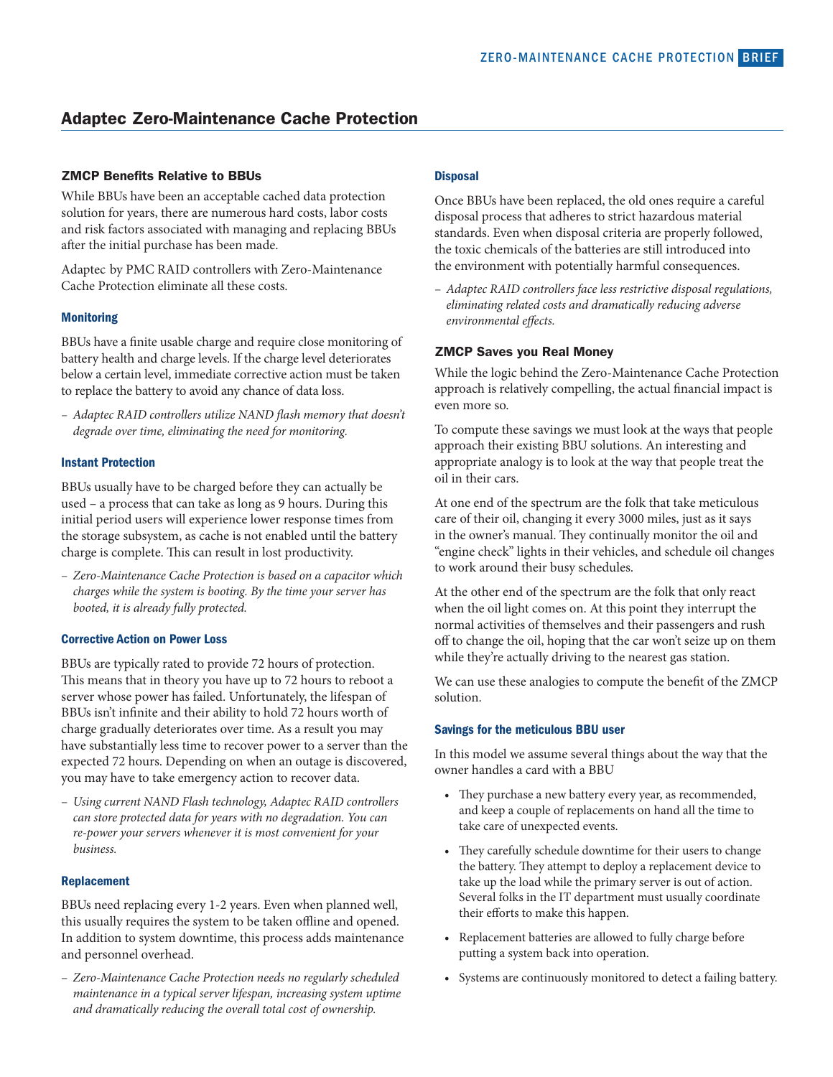# Adaptec Zero-Maintenance Cache Protection

### ZMCP Benefits Relative to BBUs

While BBUs have been an acceptable cached data protection solution for years, there are numerous hard costs, labor costs and risk factors associated with managing and replacing BBUs after the initial purchase has been made.

Adaptec by PMC RAID controllers with Zero-Maintenance Cache Protection eliminate all these costs.

#### **Monitoring**

BBUs have a finite usable charge and require close monitoring of battery health and charge levels. If the charge level deteriorates below a certain level, immediate corrective action must be taken to replace the battery to avoid any chance of data loss.

*– Adaptec RAID controllers utilize NAND flash memory that doesn't degrade over time, eliminating the need for monitoring.*

#### Instant Protection

BBUs usually have to be charged before they can actually be used – a process that can take as long as 9 hours. During this initial period users will experience lower response times from the storage subsystem, as cache is not enabled until the battery charge is complete. This can result in lost productivity.

– *Zero-Maintenance Cache Protection is based on a capacitor which charges while the system is booting. By the time your server has booted, it is already fully protected.*

#### Corrective Action on Power Loss

BBUs are typically rated to provide 72 hours of protection. This means that in theory you have up to 72 hours to reboot a server whose power has failed. Unfortunately, the lifespan of BBUs isn't infinite and their ability to hold 72 hours worth of charge gradually deteriorates over time. As a result you may have substantially less time to recover power to a server than the expected 72 hours. Depending on when an outage is discovered, you may have to take emergency action to recover data.

– *Using current NAND Flash technology, Adaptec RAID controllers can store protected data for years with no degradation. You can re-power your servers whenever it is most convenient for your business.*

#### Replacement

BBUs need replacing every 1-2 years. Even when planned well, this usually requires the system to be taken offline and opened. In addition to system downtime, this process adds maintenance and personnel overhead.

– *Zero-Maintenance Cache Protection needs no regularly scheduled maintenance in a typical server lifespan, increasing system uptime and dramatically reducing the overall total cost of ownership.*

#### **Disposal**

Once BBUs have been replaced, the old ones require a careful disposal process that adheres to strict hazardous material standards. Even when disposal criteria are properly followed, the toxic chemicals of the batteries are still introduced into the environment with potentially harmful consequences.

– *Adaptec RAID controllers face less restrictive disposal regulations, eliminating related costs and dramatically reducing adverse environmental effects.*

#### ZMCP Saves you Real Money

While the logic behind the Zero-Maintenance Cache Protection approach is relatively compelling, the actual financial impact is even more so.

To compute these savings we must look at the ways that people approach their existing BBU solutions. An interesting and appropriate analogy is to look at the way that people treat the oil in their cars.

At one end of the spectrum are the folk that take meticulous care of their oil, changing it every 3000 miles, just as it says in the owner's manual. They continually monitor the oil and "engine check" lights in their vehicles, and schedule oil changes to work around their busy schedules.

At the other end of the spectrum are the folk that only react when the oil light comes on. At this point they interrupt the normal activities of themselves and their passengers and rush off to change the oil, hoping that the car won't seize up on them while they're actually driving to the nearest gas station.

We can use these analogies to compute the benefit of the ZMCP solution.

#### Savings for the meticulous BBU user

In this model we assume several things about the way that the owner handles a card with a BBU

- They purchase a new battery every year, as recommended, and keep a couple of replacements on hand all the time to take care of unexpected events.
- They carefully schedule downtime for their users to change the battery. They attempt to deploy a replacement device to take up the load while the primary server is out of action. Several folks in the IT department must usually coordinate their efforts to make this happen.
- Replacement batteries are allowed to fully charge before putting a system back into operation.
- Systems are continuously monitored to detect a failing battery.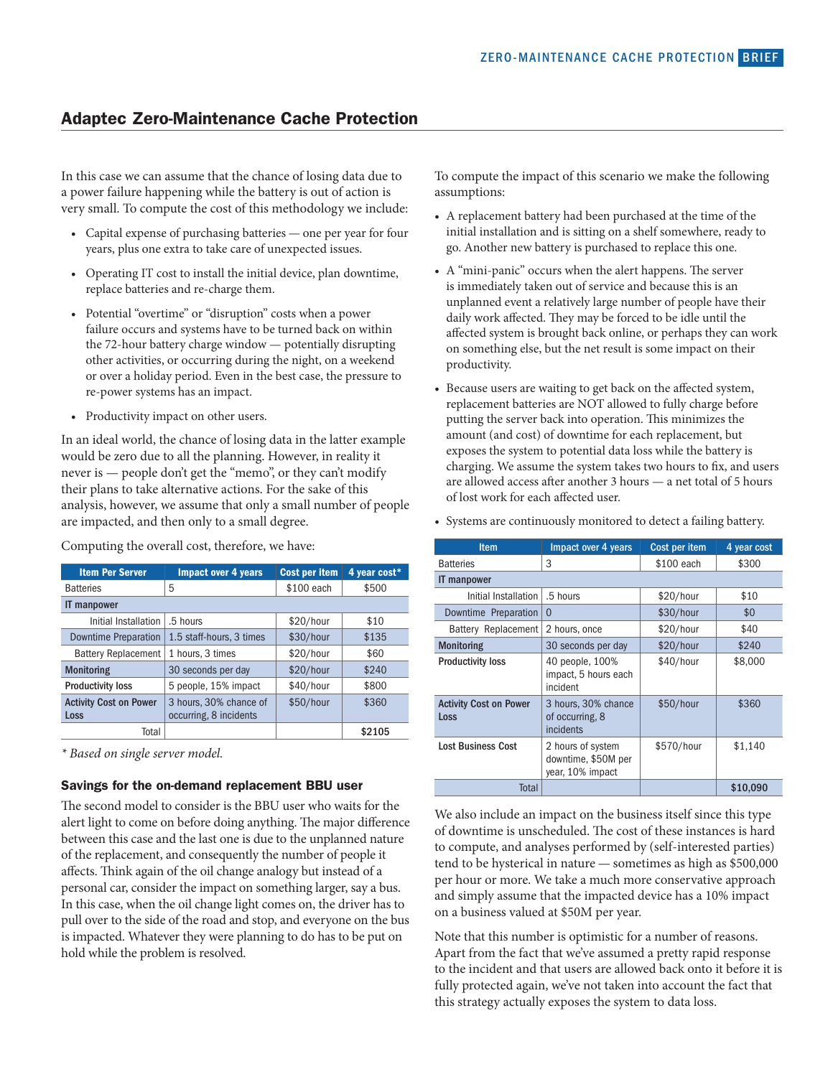# Adaptec Zero-Maintenance Cache Protection

In this case we can assume that the chance of losing data due to a power failure happening while the battery is out of action is very small. To compute the cost of this methodology we include:

- Capital expense of purchasing batteries one per year for four years, plus one extra to take care of unexpected issues.
- Operating IT cost to install the initial device, plan downtime, replace batteries and re-charge them.
- Potential "overtime" or "disruption" costs when a power failure occurs and systems have to be turned back on within the 72-hour battery charge window — potentially disrupting other activities, or occurring during the night, on a weekend or over a holiday period. Even in the best case, the pressure to re-power systems has an impact.
- Productivity impact on other users.

In an ideal world, the chance of losing data in the latter example would be zero due to all the planning. However, in reality it never is — people don't get the "memo", or they can't modify their plans to take alternative actions. For the sake of this analysis, however, we assume that only a small number of people are impacted, and then only to a small degree.

Computing the overall cost, therefore, we have:

| <b>Item Per Server</b>                | <b>Impact over 4 years</b>                       | <b>Cost per item</b> | 4 year cost* |  |  |
|---------------------------------------|--------------------------------------------------|----------------------|--------------|--|--|
| <b>Batteries</b>                      | 5                                                | \$100 each           | \$500        |  |  |
| <b>IT</b> manpower                    |                                                  |                      |              |  |  |
| Initial Installation                  | .5 hours                                         | \$20/hour            |              |  |  |
| <b>Downtime Preparation</b>           | 1.5 staff-hours, 3 times                         | \$30/hour            | \$135        |  |  |
| <b>Battery Replacement</b>            | 1 hours, 3 times                                 | \$20/hour            | \$60         |  |  |
| <b>Monitoring</b>                     | 30 seconds per day                               | \$20/hour            | \$240        |  |  |
| <b>Productivity loss</b>              | 5 people, 15% impact                             | \$40/hour            | \$800        |  |  |
| <b>Activity Cost on Power</b><br>Loss | 3 hours, 30% chance of<br>occurring, 8 incidents | \$50/hour            | \$360        |  |  |
| Total                                 |                                                  |                      | \$2105       |  |  |

*\* Based on single server model.*

## Savings for the on-demand replacement BBU user

The second model to consider is the BBU user who waits for the alert light to come on before doing anything. The major difference between this case and the last one is due to the unplanned nature of the replacement, and consequently the number of people it affects. Think again of the oil change analogy but instead of a personal car, consider the impact on something larger, say a bus. In this case, when the oil change light comes on, the driver has to pull over to the side of the road and stop, and everyone on the bus is impacted. Whatever they were planning to do has to be put on hold while the problem is resolved.

To compute the impact of this scenario we make the following assumptions:

- A replacement battery had been purchased at the time of the initial installation and is sitting on a shelf somewhere, ready to go. Another new battery is purchased to replace this one.
- A "mini-panic" occurs when the alert happens. The server is immediately taken out of service and because this is an unplanned event a relatively large number of people have their daily work affected. They may be forced to be idle until the affected system is brought back online, or perhaps they can work on something else, but the net result is some impact on their productivity.
- Because users are waiting to get back on the affected system, replacement batteries are NOT allowed to fully charge before putting the server back into operation. This minimizes the amount (and cost) of downtime for each replacement, but exposes the system to potential data loss while the battery is charging. We assume the system takes two hours to fix, and users are allowed access after another 3 hours — a net total of 5 hours of lost work for each affected user.

| <b>Item</b>                           | Impact over 4 years                                          | Cost per item | 4 year cost |  |
|---------------------------------------|--------------------------------------------------------------|---------------|-------------|--|
| <b>Batteries</b>                      | 3                                                            | \$100 each    | \$300       |  |
| <b>IT manpower</b>                    |                                                              |               |             |  |
| Initial Installation                  | .5 hours                                                     | \$20/hour     | \$10        |  |
| Downtime Preparation                  | $\Omega$                                                     | \$30/hour     | \$0         |  |
| <b>Battery Replacement</b>            | 2 hours, once                                                | \$20/hour     | \$40        |  |
| <b>Monitoring</b>                     | 30 seconds per day<br>\$20/hour                              |               | \$240       |  |
| <b>Productivity loss</b>              | 40 people, 100%<br>impact, 5 hours each<br>incident          | \$40/hour     | \$8,000     |  |
| <b>Activity Cost on Power</b><br>Loss | 3 hours, 30% chance<br>of occurring, 8<br>incidents          | \$50/hour     | \$360       |  |
| <b>Lost Business Cost</b>             | 2 hours of system<br>downtime, \$50M per<br>year, 10% impact | \$570/hour    | \$1,140     |  |
| Total                                 |                                                              |               | \$10,090    |  |

• Systems are continuously monitored to detect a failing battery.

We also include an impact on the business itself since this type of downtime is unscheduled. The cost of these instances is hard to compute, and analyses performed by (self-interested parties) tend to be hysterical in nature — sometimes as high as \$500,000 per hour or more. We take a much more conservative approach and simply assume that the impacted device has a 10% impact on a business valued at \$50M per year.

Note that this number is optimistic for a number of reasons. Apart from the fact that we've assumed a pretty rapid response to the incident and that users are allowed back onto it before it is fully protected again, we've not taken into account the fact that this strategy actually exposes the system to data loss.